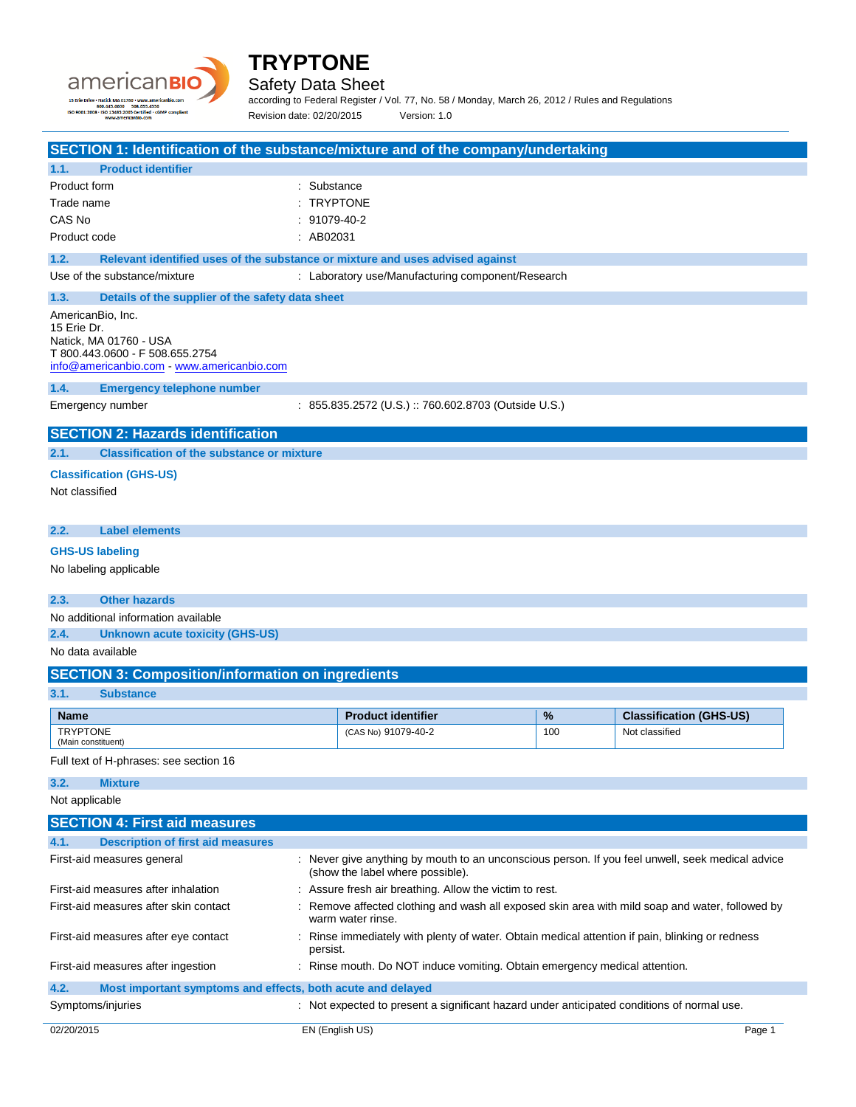



Safety Data Sheet

according to Federal Register / Vol. 77, No. 58 / Monday, March 26, 2012 / Rules and Regulations Revision date: 02/20/2015 Version: 1.0

|                                    | SECTION 1: Identification of the substance/mixture and of the company/undertaking |                                                                                        |                                                                                                                                      |     |                                |
|------------------------------------|-----------------------------------------------------------------------------------|----------------------------------------------------------------------------------------|--------------------------------------------------------------------------------------------------------------------------------------|-----|--------------------------------|
| 1.1.                               | <b>Product identifier</b>                                                         |                                                                                        |                                                                                                                                      |     |                                |
| Product form                       |                                                                                   | : Substance                                                                            |                                                                                                                                      |     |                                |
| Trade name                         |                                                                                   | : TRYPTONE                                                                             |                                                                                                                                      |     |                                |
| CAS No                             |                                                                                   | : 91079-40-2                                                                           |                                                                                                                                      |     |                                |
| Product code                       |                                                                                   | : AB02031                                                                              |                                                                                                                                      |     |                                |
| 1.2.                               | Relevant identified uses of the substance or mixture and uses advised against     |                                                                                        |                                                                                                                                      |     |                                |
|                                    | Use of the substance/mixture                                                      |                                                                                        | : Laboratory use/Manufacturing component/Research                                                                                    |     |                                |
| 1.3.                               | Details of the supplier of the safety data sheet                                  |                                                                                        |                                                                                                                                      |     |                                |
| AmericanBio, Inc.                  |                                                                                   |                                                                                        |                                                                                                                                      |     |                                |
| 15 Erie Dr.                        | Natick, MA 01760 - USA                                                            |                                                                                        |                                                                                                                                      |     |                                |
|                                    | T 800.443.0600 - F 508.655.2754                                                   |                                                                                        |                                                                                                                                      |     |                                |
|                                    | info@americanbio.com www.americanbio.com                                          |                                                                                        |                                                                                                                                      |     |                                |
| 1.4.                               | <b>Emergency telephone number</b>                                                 |                                                                                        |                                                                                                                                      |     |                                |
|                                    | Emergency number                                                                  |                                                                                        | : 855.835.2572 (U.S.) :: 760.602.8703 (Outside U.S.)                                                                                 |     |                                |
|                                    | <b>SECTION 2: Hazards identification</b>                                          |                                                                                        |                                                                                                                                      |     |                                |
| 2.1.                               | <b>Classification of the substance or mixture</b>                                 |                                                                                        |                                                                                                                                      |     |                                |
|                                    | <b>Classification (GHS-US)</b>                                                    |                                                                                        |                                                                                                                                      |     |                                |
| Not classified                     |                                                                                   |                                                                                        |                                                                                                                                      |     |                                |
|                                    |                                                                                   |                                                                                        |                                                                                                                                      |     |                                |
| 2.2.                               | <b>Label elements</b>                                                             |                                                                                        |                                                                                                                                      |     |                                |
| <b>GHS-US labeling</b>             |                                                                                   |                                                                                        |                                                                                                                                      |     |                                |
|                                    | No labeling applicable                                                            |                                                                                        |                                                                                                                                      |     |                                |
|                                    |                                                                                   |                                                                                        |                                                                                                                                      |     |                                |
| 2.3.                               | <b>Other hazards</b>                                                              |                                                                                        |                                                                                                                                      |     |                                |
|                                    | No additional information available                                               |                                                                                        |                                                                                                                                      |     |                                |
| 2.4.                               | <b>Unknown acute toxicity (GHS-US)</b>                                            |                                                                                        |                                                                                                                                      |     |                                |
| No data available                  |                                                                                   |                                                                                        |                                                                                                                                      |     |                                |
|                                    | <b>SECTION 3: Composition/information on ingredients</b>                          |                                                                                        |                                                                                                                                      |     |                                |
| 3.1.                               | <b>Substance</b>                                                                  |                                                                                        |                                                                                                                                      |     |                                |
| <b>Name</b>                        |                                                                                   |                                                                                        | <b>Product identifier</b>                                                                                                            | %   | <b>Classification (GHS-US)</b> |
| <b>TRYPTONE</b>                    |                                                                                   |                                                                                        | (CAS No) 91079-40-2                                                                                                                  | 100 | Not classified                 |
| (Main constituent)                 |                                                                                   |                                                                                        |                                                                                                                                      |     |                                |
|                                    | Full text of H-phrases: see section 16                                            |                                                                                        |                                                                                                                                      |     |                                |
| 3.2.                               | <b>Mixture</b>                                                                    |                                                                                        |                                                                                                                                      |     |                                |
| Not applicable                     |                                                                                   |                                                                                        |                                                                                                                                      |     |                                |
|                                    | <b>SECTION 4: First aid measures</b>                                              |                                                                                        |                                                                                                                                      |     |                                |
| 4.1.                               | <b>Description of first aid measures</b>                                          |                                                                                        |                                                                                                                                      |     |                                |
|                                    | First-aid measures general                                                        |                                                                                        | : Never give anything by mouth to an unconscious person. If you feel unwell, seek medical advice<br>(show the label where possible). |     |                                |
|                                    | First-aid measures after inhalation                                               |                                                                                        | Assure fresh air breathing. Allow the victim to rest.                                                                                |     |                                |
|                                    | First-aid measures after skin contact                                             |                                                                                        | Remove affected clothing and wash all exposed skin area with mild soap and water, followed by                                        |     |                                |
| warm water rinse.                  |                                                                                   |                                                                                        |                                                                                                                                      |     |                                |
|                                    | First-aid measures after eye contact                                              |                                                                                        | : Rinse immediately with plenty of water. Obtain medical attention if pain, blinking or redness                                      |     |                                |
| First-aid measures after ingestion |                                                                                   | persist.<br>: Rinse mouth. Do NOT induce vomiting. Obtain emergency medical attention. |                                                                                                                                      |     |                                |
|                                    |                                                                                   |                                                                                        |                                                                                                                                      |     |                                |
| 4.2.<br>Symptoms/injuries          | Most important symptoms and effects, both acute and delayed                       |                                                                                        | : Not expected to present a significant hazard under anticipated conditions of normal use.                                           |     |                                |
|                                    |                                                                                   |                                                                                        |                                                                                                                                      |     |                                |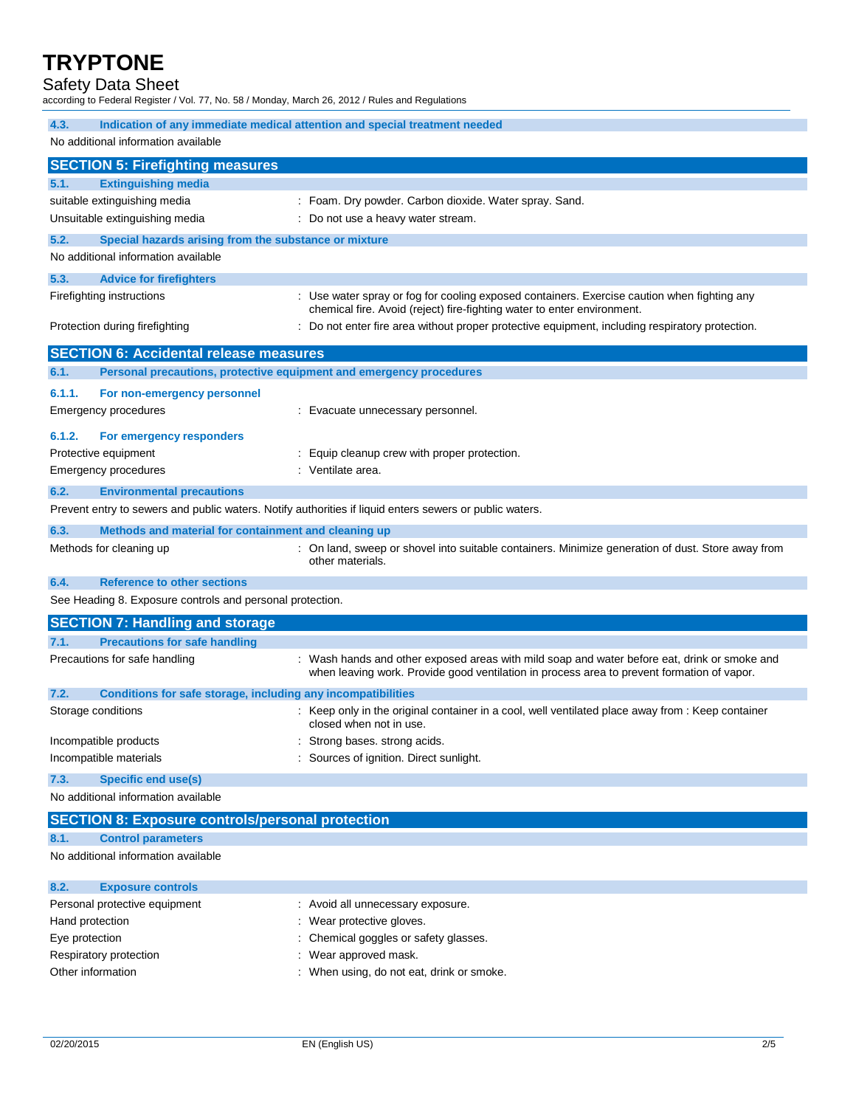### Safety Data Sheet

according to Federal Register / Vol. 77, No. 58 / Monday, March 26, 2012 / Rules and Regulations

| 4.3.                                                                                                    | Indication of any immediate medical attention and special treatment needed                                                                                                                 |  |  |
|---------------------------------------------------------------------------------------------------------|--------------------------------------------------------------------------------------------------------------------------------------------------------------------------------------------|--|--|
| No additional information available                                                                     |                                                                                                                                                                                            |  |  |
|                                                                                                         |                                                                                                                                                                                            |  |  |
| <b>SECTION 5: Firefighting measures</b><br><b>Extinguishing media</b><br>5.1.                           |                                                                                                                                                                                            |  |  |
| suitable extinguishing media                                                                            | : Foam. Dry powder. Carbon dioxide. Water spray. Sand.                                                                                                                                     |  |  |
| Unsuitable extinguishing media                                                                          | : Do not use a heavy water stream.                                                                                                                                                         |  |  |
| 5.2.<br>Special hazards arising from the substance or mixture                                           |                                                                                                                                                                                            |  |  |
| No additional information available                                                                     |                                                                                                                                                                                            |  |  |
| 5.3.<br><b>Advice for firefighters</b>                                                                  |                                                                                                                                                                                            |  |  |
| Firefighting instructions                                                                               | : Use water spray or fog for cooling exposed containers. Exercise caution when fighting any                                                                                                |  |  |
|                                                                                                         | chemical fire. Avoid (reject) fire-fighting water to enter environment.                                                                                                                    |  |  |
| Protection during firefighting                                                                          | : Do not enter fire area without proper protective equipment, including respiratory protection.                                                                                            |  |  |
| <b>SECTION 6: Accidental release measures</b>                                                           |                                                                                                                                                                                            |  |  |
| 6.1.<br>Personal precautions, protective equipment and emergency procedures                             |                                                                                                                                                                                            |  |  |
| 6.1.1.<br>For non-emergency personnel                                                                   |                                                                                                                                                                                            |  |  |
| <b>Emergency procedures</b>                                                                             | : Evacuate unnecessary personnel.                                                                                                                                                          |  |  |
|                                                                                                         |                                                                                                                                                                                            |  |  |
| 6.1.2.<br>For emergency responders<br>Protective equipment                                              | : Equip cleanup crew with proper protection.                                                                                                                                               |  |  |
| <b>Emergency procedures</b>                                                                             | : Ventilate area.                                                                                                                                                                          |  |  |
| 6.2.<br><b>Environmental precautions</b>                                                                |                                                                                                                                                                                            |  |  |
| Prevent entry to sewers and public waters. Notify authorities if liquid enters sewers or public waters. |                                                                                                                                                                                            |  |  |
|                                                                                                         |                                                                                                                                                                                            |  |  |
| 6.3.<br>Methods and material for containment and cleaning up<br>Methods for cleaning up                 | : On land, sweep or shovel into suitable containers. Minimize generation of dust. Store away from                                                                                          |  |  |
|                                                                                                         | other materials.                                                                                                                                                                           |  |  |
| <b>Reference to other sections</b><br>6.4.                                                              |                                                                                                                                                                                            |  |  |
| See Heading 8. Exposure controls and personal protection.                                               |                                                                                                                                                                                            |  |  |
| <b>SECTION 7: Handling and storage</b>                                                                  |                                                                                                                                                                                            |  |  |
| <b>Precautions for safe handling</b><br>7.1.                                                            |                                                                                                                                                                                            |  |  |
| Precautions for safe handling                                                                           | : Wash hands and other exposed areas with mild soap and water before eat, drink or smoke and<br>when leaving work. Provide good ventilation in process area to prevent formation of vapor. |  |  |
| 7.2.<br>Conditions for safe storage, including any incompatibilities                                    |                                                                                                                                                                                            |  |  |
| Storage conditions                                                                                      | : Keep only in the original container in a cool, well ventilated place away from : Keep container<br>closed when not in use.                                                               |  |  |
| Incompatible products                                                                                   | : Strong bases. strong acids.                                                                                                                                                              |  |  |
| Incompatible materials                                                                                  | Sources of ignition. Direct sunlight.                                                                                                                                                      |  |  |
| 7.3.<br><b>Specific end use(s)</b>                                                                      |                                                                                                                                                                                            |  |  |
| No additional information available                                                                     |                                                                                                                                                                                            |  |  |
| <b>SECTION 8: Exposure controls/personal protection</b>                                                 |                                                                                                                                                                                            |  |  |
| <b>Control parameters</b><br>8.1.                                                                       |                                                                                                                                                                                            |  |  |
| No additional information available                                                                     |                                                                                                                                                                                            |  |  |
|                                                                                                         |                                                                                                                                                                                            |  |  |

| : Avoid all unnecessary exposure.         |
|-------------------------------------------|
| : Wear protective gloves.                 |
| : Chemical goggles or safety glasses.     |
| : Wear approved mask.                     |
| : When using, do not eat, drink or smoke. |
|                                           |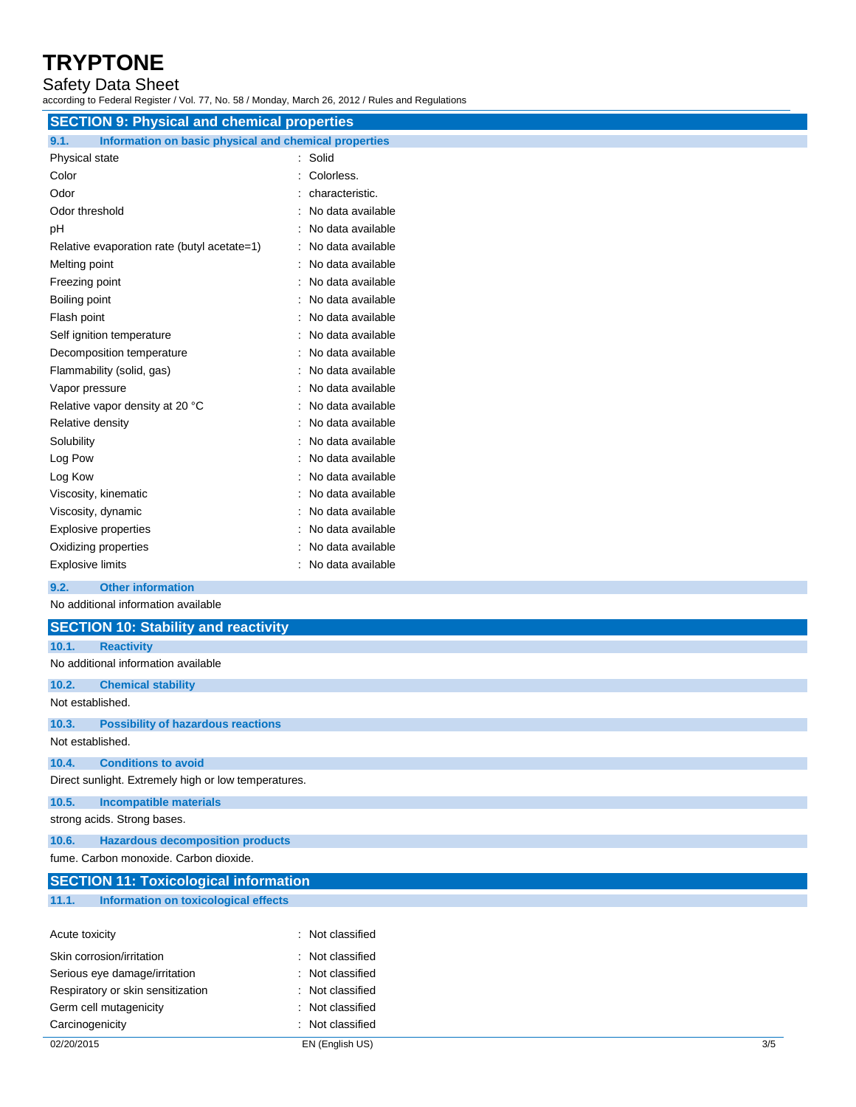### Safety Data Sheet

according to Federal Register / Vol. 77, No. 58 / Monday, March 26, 2012 / Rules and Regulations

| <b>SECTION 9: Physical and chemical properties</b>            |                   |  |  |
|---------------------------------------------------------------|-------------------|--|--|
| 9.1.<br>Information on basic physical and chemical properties |                   |  |  |
| Physical state                                                | Solid             |  |  |
| Color                                                         | Colorless.        |  |  |
| Odor                                                          | characteristic.   |  |  |
| Odor threshold                                                | No data available |  |  |
| pН                                                            | No data available |  |  |
| Relative evaporation rate (butyl acetate=1)                   | No data available |  |  |
| Melting point                                                 | No data available |  |  |
| Freezing point                                                | No data available |  |  |
| Boiling point                                                 | No data available |  |  |
| Flash point                                                   | No data available |  |  |
| Self ignition temperature                                     | No data available |  |  |
| Decomposition temperature                                     | No data available |  |  |
| Flammability (solid, gas)                                     | No data available |  |  |
| Vapor pressure                                                | No data available |  |  |
| Relative vapor density at 20 °C                               | No data available |  |  |
| Relative density                                              | No data available |  |  |
| Solubility                                                    | No data available |  |  |
| Log Pow                                                       | No data available |  |  |
| Log Kow                                                       | No data available |  |  |
| Viscosity, kinematic                                          | No data available |  |  |
| Viscosity, dynamic                                            | No data available |  |  |
| <b>Explosive properties</b>                                   | No data available |  |  |
| Oxidizing properties                                          | No data available |  |  |
| <b>Explosive limits</b>                                       | No data available |  |  |
| <b>Other information</b><br>9.2.                              |                   |  |  |
| No additional information available                           |                   |  |  |
| <b>SECTION 10: Stability and reactivity</b>                   |                   |  |  |

| 10.1.            | <b>Reactivity</b>                                    |                  |
|------------------|------------------------------------------------------|------------------|
|                  | No additional information available                  |                  |
| 10.2.            | <b>Chemical stability</b>                            |                  |
| Not established. |                                                      |                  |
| 10.3.            | <b>Possibility of hazardous reactions</b>            |                  |
| Not established. |                                                      |                  |
| 10.4.            | <b>Conditions to avoid</b>                           |                  |
|                  | Direct sunlight. Extremely high or low temperatures. |                  |
| 10.5.            | <b>Incompatible materials</b>                        |                  |
|                  | strong acids. Strong bases.                          |                  |
| 10.6.            | <b>Hazardous decomposition products</b>              |                  |
|                  | fume. Carbon monoxide. Carbon dioxide.               |                  |
|                  | <b>SECTION 11: Toxicological information</b>         |                  |
| 11.1.            | Information on toxicological effects                 |                  |
| Acute toxicity   |                                                      | : Not classified |

| 02/20/2015                        | EN (English US)  | 3/5 |
|-----------------------------------|------------------|-----|
| Carcinogenicity                   | : Not classified |     |
| Germ cell mutagenicity            | : Not classified |     |
| Respiratory or skin sensitization | : Not classified |     |
| Serious eye damage/irritation     | : Not classified |     |
| Skin corrosion/irritation         | : Not classified |     |
| ACUTE TOXICITY                    | : Not classified |     |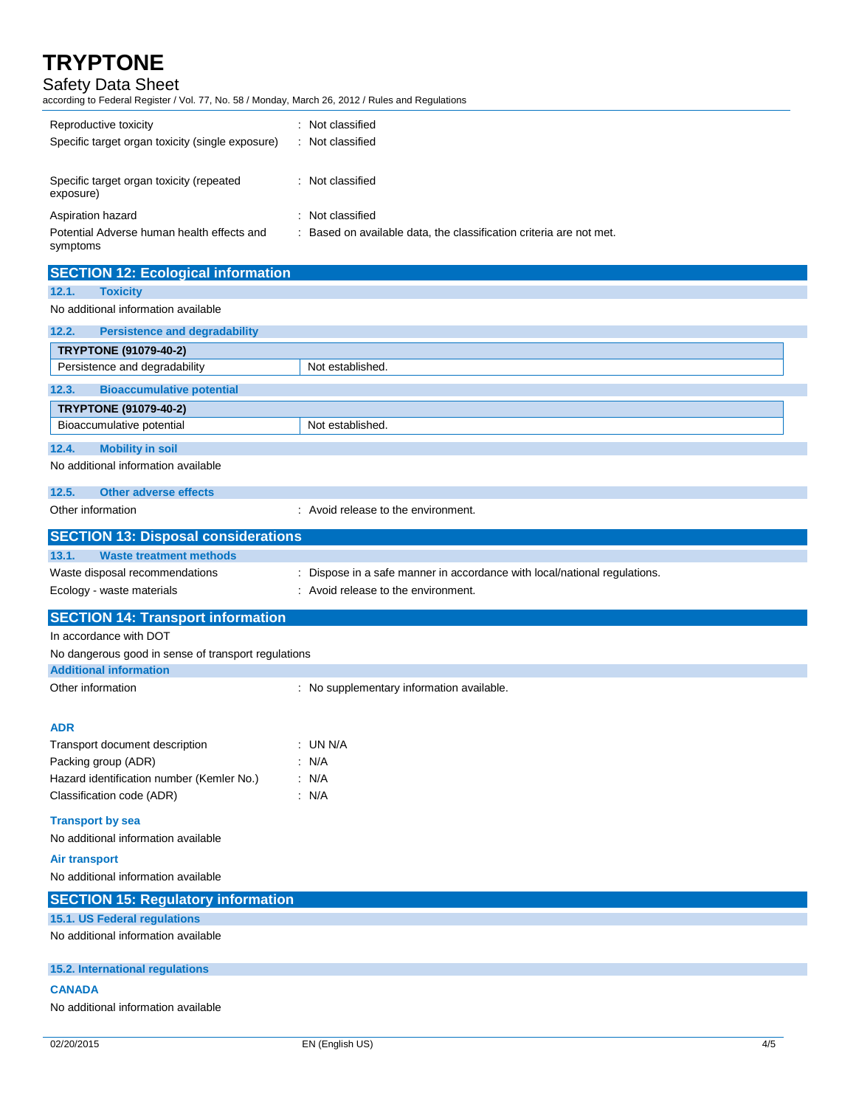## Safety Data Sheet

according to Federal Register / Vol. 77, No. 58 / Monday, March 26, 2012 / Rules and Regulations

| Reproductive toxicity<br>Specific target organ toxicity (single exposure) | Not classified<br>Not classified                                    |
|---------------------------------------------------------------------------|---------------------------------------------------------------------|
| Specific target organ toxicity (repeated<br>exposure)                     | : Not classified                                                    |
| Aspiration hazard                                                         | : Not classified                                                    |
| Potential Adverse human health effects and<br>symptoms                    | : Based on available data, the classification criteria are not met. |

| <b>SECTION 12: Ecological information</b>                                 |                                                                                                                  |
|---------------------------------------------------------------------------|------------------------------------------------------------------------------------------------------------------|
| <b>Toxicity</b><br>12.1.                                                  |                                                                                                                  |
| No additional information available                                       |                                                                                                                  |
| 12.2.<br><b>Persistence and degradability</b>                             |                                                                                                                  |
| <b>TRYPTONE (91079-40-2)</b>                                              |                                                                                                                  |
| Persistence and degradability                                             | Not established.                                                                                                 |
| <b>Bioaccumulative potential</b><br>12.3.                                 |                                                                                                                  |
| <b>TRYPTONE (91079-40-2)</b>                                              |                                                                                                                  |
| Bioaccumulative potential                                                 | Not established.                                                                                                 |
| <b>Mobility in soil</b><br>12.4.                                          |                                                                                                                  |
| No additional information available                                       |                                                                                                                  |
| 12.5.<br><b>Other adverse effects</b>                                     |                                                                                                                  |
| Other information                                                         | : Avoid release to the environment.                                                                              |
|                                                                           |                                                                                                                  |
| <b>SECTION 13: Disposal considerations</b>                                |                                                                                                                  |
| 13.1.<br><b>Waste treatment methods</b><br>Waste disposal recommendations |                                                                                                                  |
| Ecology - waste materials                                                 | : Dispose in a safe manner in accordance with local/national regulations.<br>: Avoid release to the environment. |
|                                                                           |                                                                                                                  |
| <b>SECTION 14: Transport information</b>                                  |                                                                                                                  |
| In accordance with DOT                                                    |                                                                                                                  |
| No dangerous good in sense of transport regulations                       |                                                                                                                  |
| <b>Additional information</b><br>Other information                        |                                                                                                                  |
|                                                                           |                                                                                                                  |
|                                                                           | : No supplementary information available.                                                                        |
|                                                                           |                                                                                                                  |
| <b>ADR</b>                                                                |                                                                                                                  |
| Transport document description                                            | : UN N/A<br>: N/A                                                                                                |
| Packing group (ADR)<br>Hazard identification number (Kemler No.)          | : N/A                                                                                                            |
| Classification code (ADR)                                                 | : N/A                                                                                                            |
|                                                                           |                                                                                                                  |
| <b>Transport by sea</b><br>No additional information available            |                                                                                                                  |
|                                                                           |                                                                                                                  |
| Air transport<br>No additional information available                      |                                                                                                                  |
|                                                                           |                                                                                                                  |
| <b>SECTION 15: Regulatory information</b>                                 |                                                                                                                  |
| 15.1. US Federal regulations<br>No additional information available       |                                                                                                                  |
| 15.2. International regulations                                           |                                                                                                                  |

#### **CANADA**

No additional information available